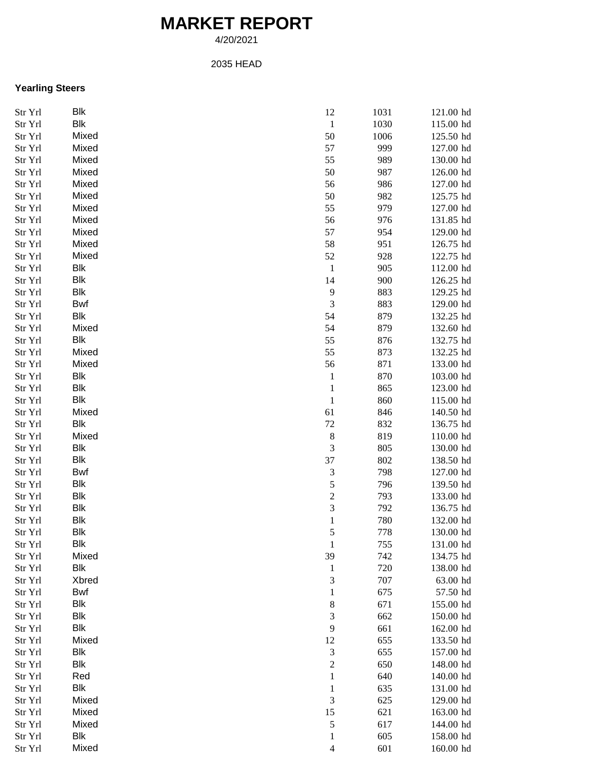## **MARKET REPORT**

4/20/2021

## 2035 HEAD

## **Yearling Steers**

| Str Yrl       | Blk        | 12                          | 1031 | 121.00 hd |
|---------------|------------|-----------------------------|------|-----------|
| Str Yrl       | Blk        | $\,1\,$                     | 1030 | 115.00 hd |
| Str Yrl       | Mixed      | 50                          | 1006 | 125.50 hd |
| Str Yrl       | Mixed      | 57                          | 999  | 127.00 hd |
| Str Yrl       | Mixed      | 55                          | 989  | 130.00 hd |
| Str Yrl       | Mixed      | 50                          | 987  | 126.00 hd |
| Str Yrl       | Mixed      | 56                          | 986  | 127.00 hd |
| Str Yrl       | Mixed      | 50                          | 982  | 125.75 hd |
| Str Yrl       | Mixed      | 55                          | 979  | 127.00 hd |
| Str Yrl       | Mixed      | 56                          | 976  | 131.85 hd |
| Str Yrl       | Mixed      | 57                          | 954  | 129.00 hd |
| Str Yrl       | Mixed      | 58                          | 951  | 126.75 hd |
| Str Yrl       | Mixed      | 52                          | 928  | 122.75 hd |
| Str Yrl       | Blk        | $\,1\,$                     | 905  | 112.00 hd |
| Str Yrl       | Blk        | 14                          | 900  | 126.25 hd |
| Str Yrl       | Blk        | 9                           | 883  | 129.25 hd |
| Str Yrl       | Bwf        | $\overline{3}$              | 883  | 129.00 hd |
| Str Yrl       | Blk        | 54                          | 879  | 132.25 hd |
| Str Yrl       | Mixed      | 54                          | 879  | 132.60 hd |
| Str Yrl       | Blk        | 55                          | 876  | 132.75 hd |
| Str Yrl       | Mixed      | 55                          | 873  | 132.25 hd |
| Str Yrl       | Mixed      | 56                          | 871  | 133.00 hd |
| Str Yrl       | Blk        | $\mathbf{1}$                | 870  | 103.00 hd |
| Str Yrl       | Blk        | $\mathbf{1}$                | 865  | 123.00 hd |
| Str Yrl       | Blk        | $\mathbf{1}$                | 860  | 115.00 hd |
| Str Yrl       | Mixed      | 61                          | 846  | 140.50 hd |
| Str Yrl       | Blk        | $72\,$                      | 832  | 136.75 hd |
| Str Yrl       | Mixed      | $\,$ 8 $\,$                 | 819  | 110.00 hd |
| Str Yrl       | Blk        | $\mathfrak 3$               | 805  | 130.00 hd |
| Str Yrl       | Blk        | 37                          | 802  | 138.50 hd |
| Str Yrl       | Bwf        | $\mathfrak{Z}$              | 798  | 127.00 hd |
| Str Yrl       | Blk        | 5                           | 796  | 139.50 hd |
| Str Yrl       | <b>Blk</b> | $\overline{c}$              | 793  | 133.00 hd |
| Str Yrl       | Blk        | 3                           | 792  | 136.75 hd |
| Str Yrl       | Blk        | $\,1$                       | 780  | 132.00 hd |
| Str Yrl       | Blk        | 5                           | 778  | 130.00 hd |
| Str Yrl       | Blk        | 1                           | 755  | 131.00 hd |
| Str Yrl       | Mixed      | 39                          | 742  | 134.75 hd |
| Str Yrl       | <b>Blk</b> | $\mathbf{1}$                | 720  | 138.00 hd |
| Str Yrl       | Xbred      | 3                           | 707  | 63.00 hd  |
| Str Yrl       | Bwf        | $\mathbf{1}$                | 675  | 57.50 hd  |
| Str Yrl       | Blk        | 8                           | 671  | 155.00 hd |
| Str Yrl       | Blk        | 3                           | 662  | 150.00 hd |
| Str Yrl       | Blk        | $\mathbf{9}$                | 661  | 162.00 hd |
| Str Yrl       | Mixed      | 12                          | 655  | 133.50 hd |
| Str Yrl       | Blk        | $\ensuremath{\mathfrak{Z}}$ | 655  | 157.00 hd |
| $\rm Str~Yrl$ | Blk        | $\sqrt{2}$                  | 650  | 148.00 hd |
| Str Yrl       | Red        | $\mathbf{1}$                | 640  | 140.00 hd |
| Str Yrl       | Blk        | $\mathbf{1}$                | 635  | 131.00 hd |
| Str Yrl       | Mixed      | $\mathfrak{Z}$              | 625  | 129.00 hd |
| Str Yrl       | Mixed      | 15                          | 621  | 163.00 hd |
| Str Yrl       | Mixed      | $\mathfrak s$               | 617  | 144.00 hd |
| Str Yrl       | Blk        | $\mathbf{1}$                | 605  | 158.00 hd |
| Str Yrl       | Mixed      | $\overline{4}$              | 601  | 160.00 hd |
|               |            |                             |      |           |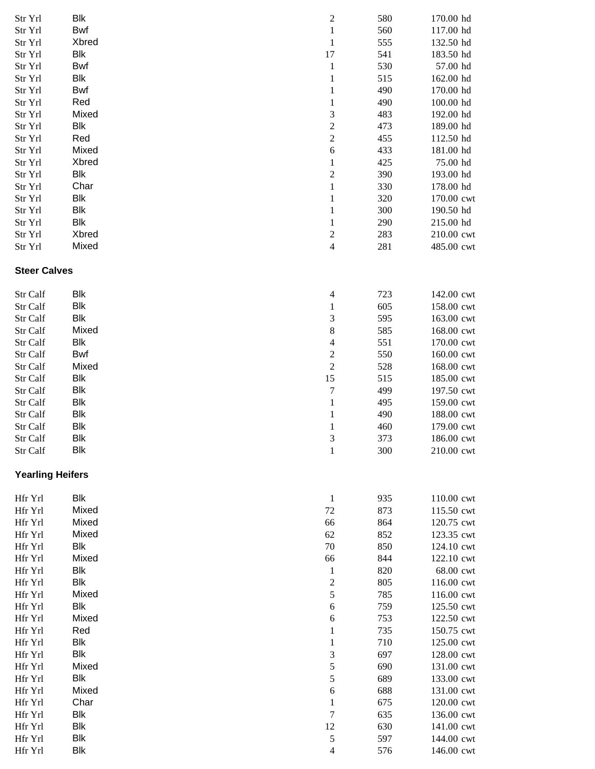| Str Yrl                 | Blk               | $\overline{\mathbf{c}}$  | 580        | 170.00 hd                |
|-------------------------|-------------------|--------------------------|------------|--------------------------|
| Str Yrl                 | Bwf               | $\,1\,$                  | 560        | 117.00 hd                |
| Str Yrl                 | Xbred             | $\mathbf{1}$             | 555        | 132.50 hd                |
| Str Yrl                 | <b>Blk</b>        | 17                       | 541        | 183.50 hd                |
| Str Yrl                 | Bwf               | $\mathbf{1}$             | 530        | 57.00 hd                 |
| Str Yrl                 | Blk               | $\,1\,$                  | 515        | 162.00 hd                |
| Str Yrl                 | Bwf               | $\mathbf{1}$             | 490        | 170.00 hd                |
| Str Yrl                 | Red               | $\,1\,$                  | 490        | 100.00 hd                |
| Str Yrl                 | Mixed             | 3                        | 483        | 192.00 hd                |
| Str Yrl                 | <b>Blk</b>        | $\overline{c}$           | 473        | 189.00 hd                |
| Str Yrl                 | Red               | $\overline{c}$           | 455        | 112.50 hd                |
| Str Yrl                 | Mixed             | $\sqrt{6}$               | 433        | 181.00 hd                |
| Str Yrl                 | Xbred             | $\mathbf{1}$             | 425        | 75.00 hd                 |
| Str Yrl                 | Blk               | $\overline{c}$           | 390        | 193.00 hd                |
| Str Yrl                 | Char              | $\mathbf{1}$             | 330        | 178.00 hd                |
| Str Yrl                 | Blk               | $\mathbf{1}$             | 320        | 170.00 cwt               |
| Str Yrl                 | Blk               | $\mathbf{1}$             | 300        | 190.50 hd                |
| Str Yrl                 | Blk               | $\mathbf{1}$             | 290        | 215.00 hd                |
| Str Yrl                 | Xbred             | $\overline{\mathbf{c}}$  | 283        | 210.00 cwt               |
| Str Yrl                 | Mixed             | $\overline{\mathcal{L}}$ | 281        | 485.00 cwt               |
| <b>Steer Calves</b>     |                   |                          |            |                          |
|                         |                   |                          |            |                          |
| Str Calf                | <b>Blk</b>        | $\overline{4}$           | 723        | 142.00 cwt               |
| Str Calf                | <b>Blk</b>        | $\,1$                    | 605        | 158.00 cwt               |
| Str Calf                | <b>Blk</b>        | 3                        | 595        | 163.00 cwt               |
| Str Calf                | Mixed             | 8                        | 585        | 168.00 cwt               |
| Str Calf                | Blk               | $\overline{4}$           | 551        | 170.00 cwt               |
| Str Calf                | Bwf               | $\boldsymbol{2}$         | 550        | 160.00 cwt               |
| Str Calf                | Mixed             | $\overline{c}$           | 528        | 168.00 cwt               |
| Str Calf                | <b>Blk</b>        | 15                       | 515        | 185.00 cwt               |
| Str Calf                | <b>Blk</b>        | $\overline{7}$           | 499        | 197.50 cwt               |
| Str Calf                | <b>Blk</b>        | $\mathbf{1}$             | 495        | 159.00 cwt               |
| Str Calf                | Blk               | $\mathbf{1}$             | 490        | 188.00 cwt               |
| Str Calf                | Blk               | $\mathbf{1}$             | 460        | 179.00 cwt               |
| Str Calf                | <b>Blk</b><br>Blk | 3<br>$\,1$               | 373<br>300 | 186.00 cwt<br>210.00 cwt |
| Str Calf                |                   |                          |            |                          |
| <b>Yearling Heifers</b> |                   |                          |            |                          |
| Hfr Yrl                 | <b>Blk</b>        | $\mathbf{1}$             | 935        | 110.00 cwt               |
| Hfr Yrl                 | Mixed             | $72\,$                   | 873        | 115.50 cwt               |
| Hfr Yrl                 | Mixed             | 66                       | 864        | 120.75 cwt               |
| Hfr Yrl                 | Mixed             | 62                       | 852        | 123.35 cwt               |
| Hfr Yrl                 | <b>Blk</b>        | $70\,$                   | 850        | 124.10 cwt               |
| Hfr Yrl                 | Mixed             | 66                       | 844        | 122.10 cwt               |
| Hfr Yrl                 | Blk               | $\mathbf{1}$             | 820        | 68.00 cwt                |
| Hfr Yrl                 | Blk               | $\boldsymbol{2}$         | 805        | 116.00 cwt               |
| Hfr Yrl                 | Mixed             | 5                        | 785        | 116.00 cwt               |
| Hfr Yrl                 | Blk               | $\sqrt{6}$               | 759        | 125.50 cwt               |
| Hfr Yrl                 | Mixed             | $\sqrt{6}$               | 753        | 122.50 cwt               |
| Hfr Yrl                 | Red               | $\mathbf{1}$             | 735        | 150.75 cwt               |
| Hfr Yrl                 | <b>Blk</b>        | $\mathbf{1}$             | 710        | 125.00 cwt               |
| Hfr Yrl                 | <b>Blk</b>        | $\mathfrak{Z}$           | 697        | 128.00 cwt               |
| Hfr Yrl                 | Mixed             | 5                        | 690        | 131.00 cwt               |
| Hfr Yrl                 | Blk               | 5                        | 689        | 133.00 cwt               |
| Hfr Yrl                 | Mixed             | $\epsilon$               | 688        | 131.00 cwt               |
| Hfr Yrl                 | Char              | $\,1$                    | 675        | 120.00 cwt               |
| Hfr Yrl                 | <b>Blk</b>        | $\boldsymbol{7}$         | 635        | 136.00 cwt               |
| Hfr Yrl                 | <b>Blk</b>        | 12                       | 630        | 141.00 cwt               |
| Hfr Yrl                 | <b>Blk</b>        | $\mathfrak s$            | 597        | 144.00 cwt               |
| Hfr Yrl                 | Blk               | $\overline{4}$           | 576        | 146.00 cwt               |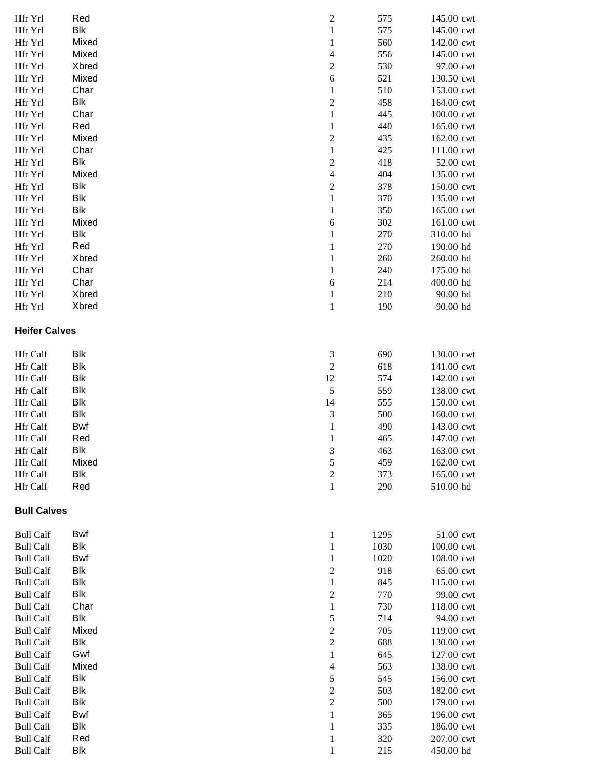| Hfr Yrl              | Red        | $\sqrt{2}$               | 575  | 145.00 cwt |
|----------------------|------------|--------------------------|------|------------|
| Hfr Yrl              | Blk        | $\mathbf{1}$             | 575  | 145.00 cwt |
| Hfr Yrl              | Mixed      | $\mathbf{1}$             | 560  | 142.00 cwt |
|                      |            |                          |      |            |
| Hfr Yrl              | Mixed      | $\overline{4}$           | 556  | 145.00 cwt |
| Hfr Yrl              | Xbred      | $\boldsymbol{2}$         | 530  | 97.00 cwt  |
|                      |            |                          |      |            |
| Hfr Yrl              | Mixed      | 6                        | 521  | 130.50 cwt |
| Hfr Yrl              | Char       | $\mathbf{1}$             | 510  | 153.00 cwt |
| Hfr Yrl              | Blk        | $\overline{c}$           | 458  | 164.00 cwt |
|                      |            |                          |      |            |
| Hfr Yrl              | Char       | $\mathbf 1$              | 445  | 100.00 cwt |
| Hfr Yrl              | Red        | $\mathbf 1$              | 440  | 165.00 cwt |
|                      |            |                          |      |            |
| Hfr Yrl              | Mixed      | $\overline{c}$           | 435  | 162.00 cwt |
| Hfr Yrl              | Char       | $\,1\,$                  | 425  | 111.00 cwt |
| Hfr Yrl              | Blk        | $\sqrt{2}$               | 418  | 52.00 cwt  |
|                      |            |                          |      |            |
| Hfr Yrl              | Mixed      | $\overline{4}$           | 404  | 135.00 cwt |
| Hfr Yrl              | Blk        | $\overline{c}$           | 378  | 150.00 cwt |
| Hfr Yrl              | Blk        | $\,1\,$                  | 370  | 135.00 cwt |
|                      |            |                          |      |            |
| Hfr Yrl              | Blk        | $\mathbf{1}$             | 350  | 165.00 cwt |
| Hfr Yrl              | Mixed      | $\sqrt{6}$               | 302  | 161.00 cwt |
|                      |            |                          |      |            |
| Hfr Yrl              | <b>Blk</b> | $\mathbf{1}$             | 270  | 310.00 hd  |
| Hfr Yrl              | Red        | $\mathbf{1}$             | 270  | 190.00 hd  |
| Hfr Yrl              | Xbred      | $\mathbf{1}$             | 260  | 260.00 hd  |
|                      |            |                          |      |            |
| Hfr Yrl              | Char       | $\,1\,$                  | 240  | 175.00 hd  |
| Hfr Yrl              | Char       | 6                        | 214  | 400.00 hd  |
| Hfr Yrl              | Xbred      |                          | 210  | 90.00 hd   |
|                      |            | $\mathbf{1}$             |      |            |
| Hfr Yrl              | Xbred      | $\mathbf 1$              | 190  | 90.00 hd   |
|                      |            |                          |      |            |
| <b>Heifer Calves</b> |            |                          |      |            |
|                      |            |                          |      |            |
|                      |            |                          |      |            |
| <b>Hfr</b> Calf      | <b>Blk</b> | 3                        | 690  | 130.00 cwt |
| Hfr Calf             | Blk        | $\sqrt{2}$               | 618  | 141.00 cwt |
|                      |            |                          |      |            |
| Hfr Calf             | <b>Blk</b> | 12                       | 574  | 142.00 cwt |
| Hfr Calf             | <b>Blk</b> | 5                        | 559  | 138.00 cwt |
| Hfr Calf             | Blk        | 14                       | 555  | 150.00 cwt |
|                      |            |                          |      |            |
| Hfr Calf             | Blk        | $\mathfrak{Z}$           | 500  | 160.00 cwt |
| Hfr Calf             | Bwf        | $\mathbf{1}$             | 490  | 143.00 cwt |
|                      |            |                          |      |            |
| Hfr Calf             | Red        | $\mathbf{1}$             | 465  | 147.00 cwt |
| Hfr Calf             | <b>Blk</b> | 3                        | 463  | 163.00 cwt |
| Hfr Calf             | Mixed      | 5                        | 459  | 162.00 cwt |
|                      |            |                          |      |            |
| Hfr Calf             | <b>Blk</b> | $\sqrt{2}$               | 373  | 165.00 cwt |
| Hfr Calf             | Red        | $\,1\,$                  | 290  | 510.00 hd  |
|                      |            |                          |      |            |
|                      |            |                          |      |            |
| <b>Bull Calves</b>   |            |                          |      |            |
|                      |            |                          |      |            |
| <b>Bull Calf</b>     | Bwf        | $\mathbf{1}$             | 1295 | 51.00 cwt  |
| <b>Bull Calf</b>     | <b>Blk</b> | $\mathbf{1}$             | 1030 | 100.00 cwt |
|                      |            |                          |      |            |
| <b>Bull Calf</b>     | <b>Bwf</b> | $\mathbf{1}$             | 1020 | 108.00 cwt |
| <b>Bull Calf</b>     | <b>Blk</b> | $\sqrt{2}$               | 918  | 65.00 cwt  |
| <b>Bull Calf</b>     | <b>Blk</b> | $\mathbf{1}$             | 845  | 115.00 cwt |
|                      |            |                          |      |            |
| <b>Bull Calf</b>     | <b>Blk</b> | $\overline{c}$           | 770  | 99.00 cwt  |
| <b>Bull Calf</b>     | Char       | $\mathbf{1}$             | 730  | 118.00 cwt |
| <b>Bull Calf</b>     | <b>Blk</b> |                          |      | 94.00 cwt  |
|                      |            | 5                        | 714  |            |
| <b>Bull Calf</b>     | Mixed      | $\mathbf{2}$             | 705  | 119.00 cwt |
| <b>Bull Calf</b>     | <b>Blk</b> | $\sqrt{2}$               | 688  | 130.00 cwt |
|                      |            |                          |      |            |
| <b>Bull Calf</b>     | Gwf        | 1                        | 645  | 127.00 cwt |
| <b>Bull Calf</b>     | Mixed      | $\overline{\mathcal{L}}$ | 563  | 138.00 cwt |
| <b>Bull Calf</b>     | <b>Blk</b> | 5                        | 545  | 156.00 cwt |
|                      |            |                          |      |            |
| <b>Bull Calf</b>     | <b>Blk</b> | $\boldsymbol{2}$         | 503  | 182.00 cwt |
| <b>Bull Calf</b>     | <b>Blk</b> | $\sqrt{2}$               | 500  | 179.00 cwt |
| <b>Bull Calf</b>     | Bwf        | $\,1\,$                  | 365  | 196.00 cwt |
|                      |            |                          |      |            |
| <b>Bull Calf</b>     | Blk        | $\mathbf{1}$             | 335  | 186.00 cwt |
| <b>Bull Calf</b>     | Red        | $\mathbf{1}$             | 320  | 207.00 cwt |
|                      | <b>Blk</b> | $\mathbf{1}$             | 215  | 450.00 hd  |
| <b>Bull Calf</b>     |            |                          |      |            |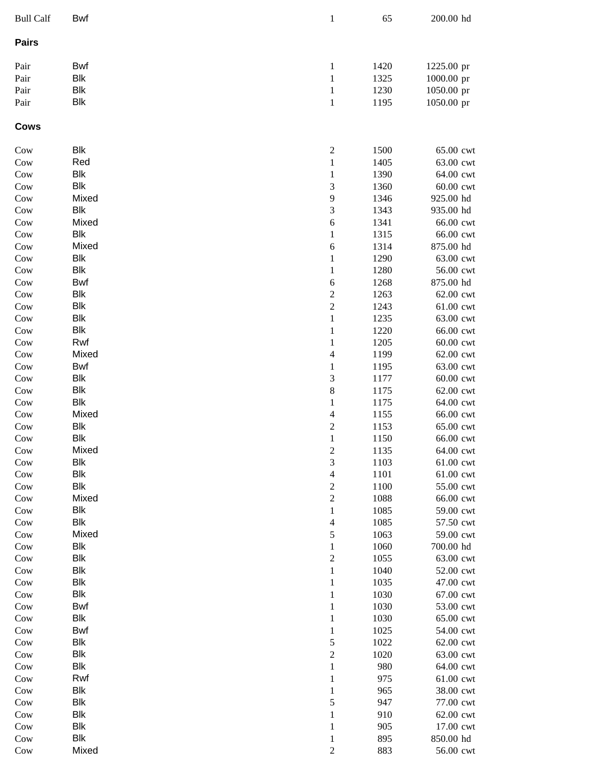| <b>Bull Calf</b> | Bwf                      | $\,1\,$                                   | 65           | 200.00 hd              |
|------------------|--------------------------|-------------------------------------------|--------------|------------------------|
| <b>Pairs</b>     |                          |                                           |              |                        |
| Pair             | Bwf                      | $\mathbf{1}$                              | 1420         | 1225.00 pr             |
| Pair             | <b>Blk</b>               | $\,1\,$                                   | 1325         | 1000.00 pr             |
| Pair             | <b>Blk</b>               | $\,1\,$                                   | 1230         | 1050.00 pr             |
| Pair             | <b>Blk</b>               | $\,1\,$                                   | 1195         | 1050.00 pr             |
| <b>Cows</b>      |                          |                                           |              |                        |
| Cow              | <b>Blk</b>               | $\sqrt{2}$                                | 1500         | 65.00 cwt              |
| Cow              | Red                      | $\mathbf{1}$                              | 1405         | 63.00 cwt              |
| Cow              | <b>Blk</b>               | $\mathbf{1}$                              | 1390         | 64.00 cwt              |
| Cow              | Blk                      | 3                                         | 1360         | 60.00 cwt              |
| Cow              | Mixed                    | 9                                         | 1346         | 925.00 hd              |
| Cow              | Blk                      | 3                                         | 1343         | 935.00 hd              |
| Cow              | Mixed                    | 6                                         | 1341         | 66.00 cwt              |
| Cow              | <b>Blk</b>               | $\,1\,$                                   | 1315         | 66.00 cwt              |
| Cow              | Mixed                    | 6                                         | 1314         | 875.00 hd              |
| Cow              | <b>Blk</b><br><b>Blk</b> | $\,1\,$                                   | 1290         | 63.00 cwt              |
| Cow              | Bwf                      | $\,1\,$                                   | 1280         | 56.00 cwt              |
| Cow<br>Cow       | <b>Blk</b>               | 6                                         | 1268<br>1263 | 875.00 hd<br>62.00 cwt |
| Cow              | <b>Blk</b>               | $\overline{\mathbf{c}}$<br>$\overline{c}$ | 1243         | 61.00 cwt              |
| Cow              | <b>Blk</b>               | $\,1\,$                                   | 1235         | 63.00 cwt              |
| Cow              | Blk                      | $\mathbf{1}$                              | 1220         | 66.00 cwt              |
| Cow              | Rwf                      | $\mathbf{1}$                              | 1205         | 60.00 cwt              |
| Cow              | Mixed                    | $\overline{\mathcal{L}}$                  | 1199         | 62.00 cwt              |
| Cow              | Bwf                      | $\mathbf{1}$                              | 1195         | 63.00 cwt              |
| Cow              | <b>Blk</b>               | 3                                         | 1177         | 60.00 cwt              |
| Cow              | <b>Blk</b>               | 8                                         | 1175         | 62.00 cwt              |
| Cow              | <b>Blk</b>               | $\,1\,$                                   | 1175         | 64.00 cwt              |
| Cow              | Mixed                    | $\overline{\mathcal{A}}$                  | 1155         | 66.00 cwt              |
| Cow              | <b>Blk</b>               | $\overline{c}$                            | 1153         | 65.00 cwt              |
| Cow              | <b>Blk</b>               | $\,1\,$                                   | 1150         | 66.00 cwt              |
| $_{\text{Cow}}$  | Mixed                    | $\sqrt{2}$                                | 1135         | 64.00 cwt              |
| Cow              | Blk                      | 3                                         | 1103         | 61.00 cwt              |
| Cow              | <b>Blk</b>               | $\overline{\mathcal{L}}$                  | 1101         | 61.00 cwt              |
| Cow              | <b>Blk</b>               | $\sqrt{2}$                                | 1100         | 55.00 cwt              |
| Cow              | Mixed                    | $\sqrt{2}$                                | 1088         | 66.00 cwt              |
| Cow              | Blk                      | $\mathbf{1}$                              | 1085         | 59.00 cwt              |
| Cow              | Blk                      | $\overline{4}$                            | 1085         | 57.50 cwt              |
| Cow              | Mixed                    | $\sqrt{5}$                                | 1063         | 59.00 cwt              |
| Cow              | <b>Blk</b>               | $\mathbf{1}$                              | 1060         | 700.00 hd              |
| Cow              | <b>Blk</b>               | $\sqrt{2}$                                | 1055         | 63.00 cwt              |
| Cow              | Blk                      | $\,1\,$                                   | 1040         | 52.00 cwt              |
| Cow              | Blk                      | $\,1\,$                                   | 1035         | 47.00 cwt              |
| Cow              | Blk                      | $\,1\,$                                   | 1030         | 67.00 cwt              |
| Cow              | Bwf<br>Blk               | $\,1\,$<br>$\,1\,$                        | 1030<br>1030 | 53.00 cwt<br>65.00 cwt |
| Cow<br>Cow       | Bwf                      | $\,1\,$                                   | 1025         | 54.00 cwt              |
| Cow              | <b>Blk</b>               | 5                                         | 1022         | 62.00 cwt              |
| Cow              | <b>Blk</b>               | $\overline{c}$                            | 1020         | 63.00 cwt              |
| Cow              | Blk                      | $\,1\,$                                   | 980          | 64.00 cwt              |
| Cow              | Rwf                      | $\mathbf{1}$                              | 975          | 61.00 cwt              |
| Cow              | <b>Blk</b>               | $\mathbf{1}$                              | 965          | 38.00 cwt              |
| Cow              | <b>Blk</b>               | 5                                         | 947          | 77.00 cwt              |
| Cow              | <b>Blk</b>               | $\mathbf{1}$                              | 910          | 62.00 cwt              |
| Cow              | Blk                      | $\mathbf{1}$                              | 905          | 17.00 cwt              |
| Cow              | Blk                      | 1                                         | 895          | 850.00 hd              |
| Cow              | Mixed                    | $\boldsymbol{2}$                          | 883          | 56.00 cwt              |
|                  |                          |                                           |              |                        |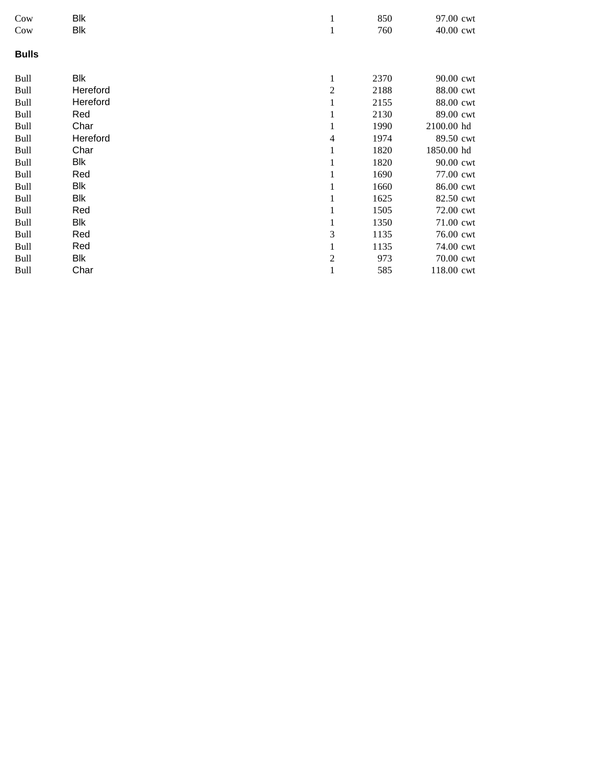| Cow          | <b>Blk</b> | 1              | 850  | 97.00 cwt  |
|--------------|------------|----------------|------|------------|
| Cow          | <b>Blk</b> | 1              | 760  | 40.00 cwt  |
| <b>Bulls</b> |            |                |      |            |
| <b>Bull</b>  | <b>Blk</b> | 1              | 2370 | 90.00 cwt  |
| <b>Bull</b>  | Hereford   | $\overline{2}$ | 2188 | 88.00 cwt  |
| <b>Bull</b>  | Hereford   | 1              | 2155 | 88.00 cwt  |
| <b>Bull</b>  | Red        | 1              | 2130 | 89.00 cwt  |
| <b>Bull</b>  | Char       | 1              | 1990 | 2100.00 hd |
| <b>Bull</b>  | Hereford   | 4              | 1974 | 89.50 cwt  |
| <b>Bull</b>  | Char       | 1              | 1820 | 1850.00 hd |
| <b>Bull</b>  | Blk        | 1              | 1820 | 90.00 cwt  |
| <b>Bull</b>  | Red        | 1              | 1690 | 77.00 cwt  |
| <b>Bull</b>  | Blk        | 1              | 1660 | 86.00 cwt  |
| <b>Bull</b>  | Blk        | 1              | 1625 | 82.50 cwt  |
| <b>Bull</b>  | Red        | 1              | 1505 | 72.00 cwt  |
| <b>Bull</b>  | Blk        | 1              | 1350 | 71.00 cwt  |
| <b>Bull</b>  | Red        | 3              | 1135 | 76.00 cwt  |
| <b>Bull</b>  | Red        | 1              | 1135 | 74.00 cwt  |
| <b>Bull</b>  | Blk        | $\overline{c}$ | 973  | 70.00 cwt  |
| <b>Bull</b>  | Char       | 1              | 585  | 118.00 cwt |